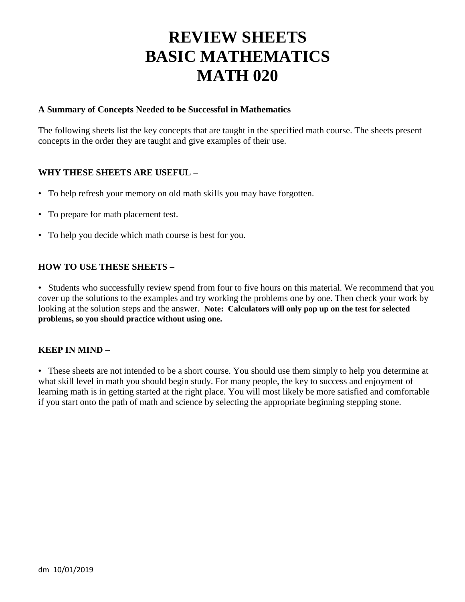# **REVIEW SHEETS BASIC MATHEMATICS MATH 020**

## **A Summary of Concepts Needed to be Successful in Mathematics**

The following sheets list the key concepts that are taught in the specified math course. The sheets present concepts in the order they are taught and give examples of their use.

# **WHY THESE SHEETS ARE USEFUL –**

- To help refresh your memory on old math skills you may have forgotten.
- To prepare for math placement test.
- To help you decide which math course is best for you.

## **HOW TO USE THESE SHEETS –**

• Students who successfully review spend from four to five hours on this material. We recommend that you cover up the solutions to the examples and try working the problems one by one. Then check your work by looking at the solution steps and the answer. **Note: Calculators will only pop up on the test for selected problems, so you should practice without using one.**

## **KEEP IN MIND –**

• These sheets are not intended to be a short course. You should use them simply to help you determine at what skill level in math you should begin study. For many people, the key to success and enjoyment of learning math is in getting started at the right place. You will most likely be more satisfied and comfortable if you start onto the path of math and science by selecting the appropriate beginning stepping stone.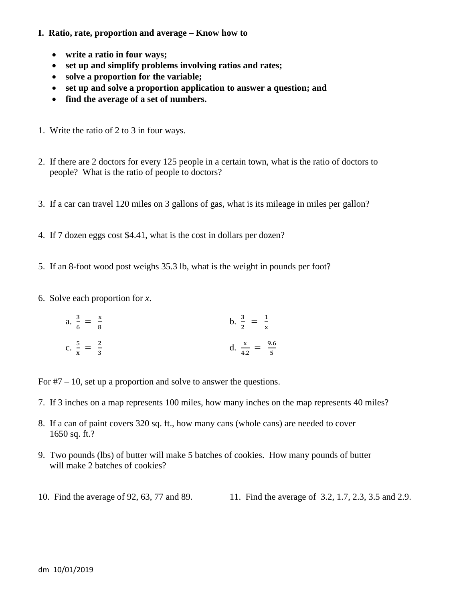#### **I. Ratio, rate, proportion and average – Know how to**

- **write a ratio in four ways;**
- **set up and simplify problems involving ratios and rates;**
- **solve a proportion for the variable;**
- **set up and solve a proportion application to answer a question; and**
- **find the average of a set of numbers.**
- 1. Write the ratio of 2 to 3 in four ways.
- 2. If there are 2 doctors for every 125 people in a certain town, what is the ratio of doctors to people? What is the ratio of people to doctors?
- 3. If a car can travel 120 miles on 3 gallons of gas, what is its mileage in miles per gallon?
- 4. If 7 dozen eggs cost \$4.41, what is the cost in dollars per dozen?
- 5. If an 8-foot wood post weighs 35.3 lb, what is the weight in pounds per foot?
- 6. Solve each proportion for *x*.

a. 
$$
\frac{3}{6} = \frac{x}{8}
$$
  
b.  $\frac{3}{2} = \frac{1}{x}$   
c.  $\frac{5}{x} = \frac{2}{3}$   
d.  $\frac{x}{4.2} = \frac{9.6}{5}$ 

For  $#7 - 10$ , set up a proportion and solve to answer the questions.

- 7. If 3 inches on a map represents 100 miles, how many inches on the map represents 40 miles?
- 8. If a can of paint covers 320 sq. ft., how many cans (whole cans) are needed to cover 1650 sq. ft.?
- 9. Two pounds (lbs) of butter will make 5 batches of cookies. How many pounds of butter will make 2 batches of cookies?
- 10. Find the average of 92, 63, 77 and 89. 11. Find the average of 3.2, 1.7, 2.3, 3.5 and 2.9.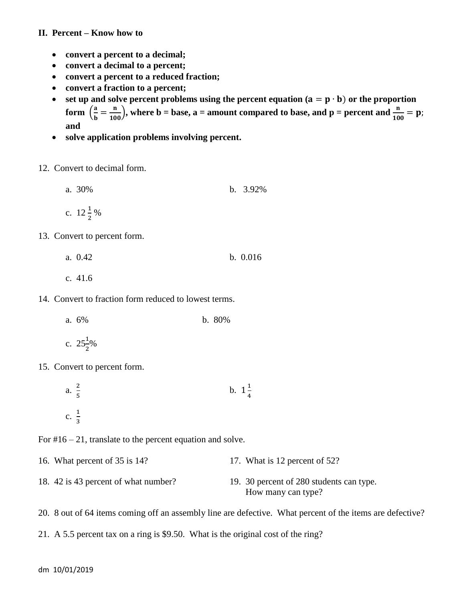#### **II. Percent – Know how to**

- **convert a percent to a decimal;**
- **convert a decimal to a percent;**
- **convert a percent to a reduced fraction;**
- **convert a fraction to a percent;**
- set up and solve percent problems using the percent equation  $(a = p \cdot b)$  or the proportion **form**  $\left(\frac{a}{b}\right)$  $\frac{a}{b} = \frac{n}{100}$ , where b = base, a = amount compared to base, and p = percent and  $\frac{n}{100}$  = **and**
- **solve application problems involving percent.**
- 12. Convert to decimal form.
	- a. 30% b. 3.92% c.  $12\frac{1}{2}\%$
- 13. Convert to percent form.
	- a. 0.42 b. 0.016
	- c. 41.6
- 14. Convert to fraction form reduced to lowest terms.
	- a. 6% b. 80%
	- c.  $25\frac{1}{2}\%$
- 15. Convert to percent form.
	- a.  $\frac{2}{7}$ 5 b.  $1\frac{1}{2}$ 4 c.  $\frac{1}{5}$ 3

For  $\#16 - 21$ , translate to the percent equation and solve.

- 16. What percent of 35 is 14? 17. What is 12 percent of 52?
- 18. 42 is 43 percent of what number? 19. 30 percent of 280 students can type. How many can type?
- 20. 8 out of 64 items coming off an assembly line are defective. What percent of the items are defective?
- 21. A 5.5 percent tax on a ring is \$9.50. What is the original cost of the ring?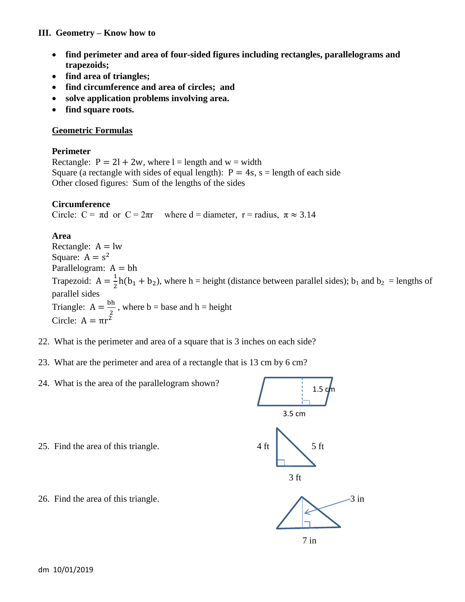## **III. Geometry – Know how to**

- **find perimeter and area of four-sided figures including rectangles, parallelograms and trapezoids;**
- **find area of triangles;**
- **find circumference and area of circles; and**
- **solve application problems involving area.**
- **find square roots.**

# **Geometric Formulas**

#### **Perimeter**

Rectangle:  $P = 2l + 2w$ , where l = length and w = width Square (a rectangle with sides of equal length):  $P = 4s$ ,  $s =$  length of each side Other closed figures: Sum of the lengths of the sides

## **Circumference**

Circle:  $C = \pi d$  or  $C = 2\pi r$  where d = diameter, r = radius,  $\pi \approx 3.14$ 

# **Area**

Rectangle:  $A = lw$ Square:  $A = s^2$ Parallelogram:  $A = bh$ Trapezoid:  $A = \frac{1}{2}$  $\frac{1}{2}h(b_1 + b_2)$ , where h = height (distance between parallel sides); b<sub>1</sub> and b<sub>2</sub> = lengths of parallel sides Triangle:  $A = \frac{b}{a}$  $\frac{\pi}{2}$ , where b = base and h = height Circle:  $A = \pi r^2$ 

- 22. What is the perimeter and area of a square that is 3 inches on each side?
- 23. What are the perimeter and area of a rectangle that is 13 cm by 6 cm?
- 24. What is the area of the parallelogram shown?

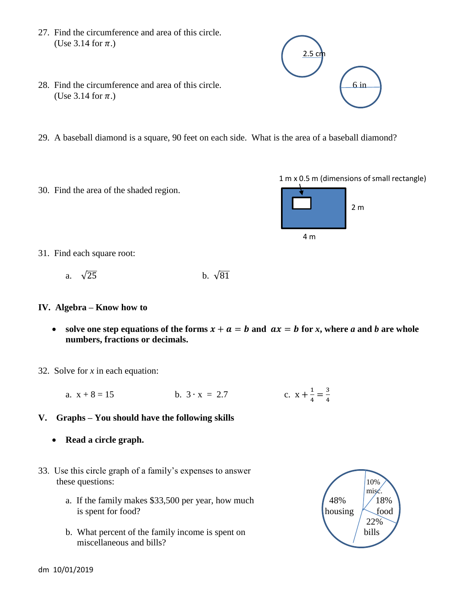- 27. Find the circumference and area of this circle. (Use 3.14 for  $\pi$ .)
- 28. Find the circumference and area of this circle.  $\begin{bmatrix} 6 & \text{in} \\ 6 & \text{in} \end{bmatrix}$ (Use 3.14 for  $\pi$ .)
- 29. A baseball diamond is a square, 90 feet on each side. What is the area of a baseball diamond?
- 30. Find the area of the shaded region.



- 31. Find each square root:
	- a.  $\sqrt{25}$  b.  $\sqrt{81}$

#### **IV. Algebra – Know how to**

- solve one step equations of the forms  $x + a = b$  and  $ax = b$  for x, where *a* and *b* are whole **numbers, fractions or decimals.**
- 32. Solve for *x* in each equation:
	- a.  $x + 8 = 15$  b.  $3 \cdot x = 2.7$  $\mathbf{1}$  $\frac{1}{4} = \frac{3}{4}$ 4
- **V. Graphs – You should have the following skills**
	- **Read a circle graph.**
- 33. Use this circle graph of a family's expenses to answer these questions: 10%
	- a. If the family makes \$33,500 per year, how much  $\left(48\% \right)$   $\left(48\% \right)$ is spent for food?  $h$  housing  $\sim$  food
	- b. What percent of the family income is spent on  $\bigcup$  bills miscellaneous and bills?



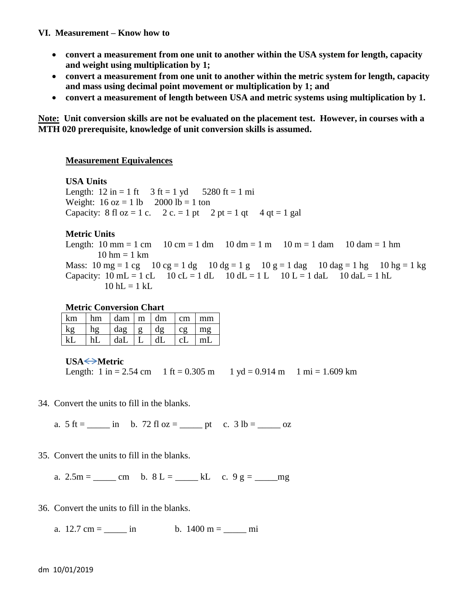#### **VI. Measurement – Know how to**

- **convert a measurement from one unit to another within the USA system for length, capacity and weight using multiplication by 1;**
- **convert a measurement from one unit to another within the metric system for length, capacity and mass using decimal point movement or multiplication by 1; and**
- **convert a measurement of length between USA and metric systems using multiplication by 1.**

**Note: Unit conversion skills are not be evaluated on the placement test. However, in courses with a MTH 020 prerequisite, knowledge of unit conversion skills is assumed.**

## **Measurement Equivalences**

**USA Units** Length:  $12 \text{ in} = 1 \text{ ft}$   $3 \text{ ft} = 1 \text{ yd}$   $5280 \text{ ft} = 1 \text{ mi}$ Weight:  $16 oz = 1 lb$   $2000 lb = 1 ton$ Capacity: 8 fl oz = 1 c. 2 c. = 1 pt 2 pt = 1 qt 4 qt = 1 gal

# **Metric Units**

Length:  $10 \text{ mm} = 1 \text{ cm}$   $10 \text{ cm} = 1 \text{ dm}$   $10 \text{ dm} = 1 \text{ m}$   $10 \text{ m} = 1 \text{ dam}$   $10 \text{ dam} = 1 \text{ hm}$  $10 \text{ hm} = 1 \text{ km}$ Mass:  $10 \text{ mg} = 1 \text{ cg}$   $10 \text{ cg} = 1 \text{ dg}$   $10 \text{ dg} = 1 \text{ g}$   $10 \text{ g} = 1 \text{ dag}$   $10 \text{ dag} = 1 \text{ hg}$   $10 \text{ hg} = 1 \text{ kg}$ Capacity:  $10 \text{ mL} = 1 \text{ cL}$   $10 \text{ cL} = 1 \text{ dL}$   $10 \text{ dL} = 1 \text{ L}$   $10 \text{ L} = 1 \text{ dL}$   $10 \text{ dL} = 1 \text{ hL}$  $10$  hL = 1 kL

#### **Metric Conversion Chart**

| km     | hm                | dam m                        |              | dm     | $\mathsf{cm}$ | mm        |
|--------|-------------------|------------------------------|--------------|--------|---------------|-----------|
| $\log$ | $h_{\mathcal{Q}}$ | $\lceil \text{dag} \rceil$ g |              | $\log$ | CQ            | $m\sigma$ |
| kI     | hL                | daL                          | $\mathsf{L}$ | dL     | c             | l mL      |

## **USA** <del>◆</del>Metric

Length:  $1 \text{ in } = 2.54 \text{ cm}$   $1 \text{ ft} = 0.305 \text{ m}$   $1 \text{ yd} = 0.914 \text{ m}$   $1 \text{ mi} = 1.609 \text{ km}$ 

34. Convert the units to fill in the blanks.

a.  $5 \text{ ft} =$  \_\_\_\_\_\_ in b. 72 fl oz = \_\_\_\_\_\_ pt c. 3 lb = \_\_\_\_\_\_ oz

35. Convert the units to fill in the blanks.

a.  $2.5m =$  <u>cm b.  $8 L =$  kL c.  $9 g =$  mg</u>

- 36. Convert the units to fill in the blanks.
	- a.  $12.7 \text{ cm} =$  in b.  $1400 \text{ m} =$  mi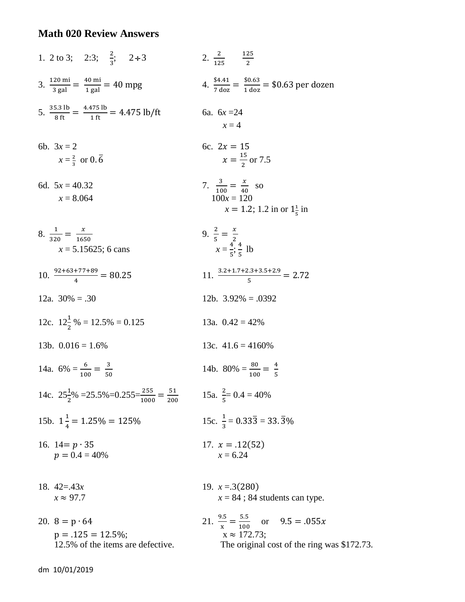# **Math 020 Review Answers**

1. 2 to 3; 2:3; 
$$
\frac{2}{3}
$$
; 2+3  
\n2.  $\frac{2}{125}$   
\n3.  $\frac{120 \text{ mi}}{3 \text{ gal}} = \frac{40 \text{ mi}}{1 \text{ gal}} = 40 \text{ mp}$   
\n4.  $\frac{54.41}{7 \text{ dox}} = \frac{50.63}{1 \text{ dox}} = $0.63 \text{ per dozen}$   
\n5.  $\frac{35.3 \text{ lb}}{8 \text{ ft}} = \frac{4.475 \text{ lb}}{1 \text{ ft}} = 4.475 \text{ lb/ft}$   
\n6.  $6x = 24$   
\n $x = 4$   
\n6b.  $3x = 2$   
\n $x = \frac{2}{3} \text{ or } 0.\overline{6}$   
\n6.  $2x = 15$   
\n $x = \frac{15}{2} \text{ or } 7.5$   
\n6d.  $5x = 40.32$   
\n $x = 8.064$   
\n $x = 1.2$ ; 1.2 in or  $1\frac{1}{5}$  in  
\n $8. \frac{1}{320} = \frac{x}{150}$   
\n $x = 5.15625$ ; 6 cans  
\n $x = 5.15625$ ; 6 cans  
\n $x = \frac{4}{5}, \frac{4}{5}$  lb  
\n10.  $\frac{92 + 63 + 77 + 99}{4} = 80.25$   
\n11.  $\frac{3.2 + 1.7 + 2.3 + 3.5 + 2.9}{5} = 2.72$   
\n12a.  $30\% = .30$   
\n12b.  $3.92\% = .0392$   
\n12c.  $12\frac{1}{2}\% = 12.5\% = 0.125$   
\n13b.  $0.016 = 1.6\%$   
\n14a.  $6\% = \frac{6}{100} = \frac{3}{50}$   
\n15b.  $1\frac{1}{4} = 1.25\% = 125\%$   
\n